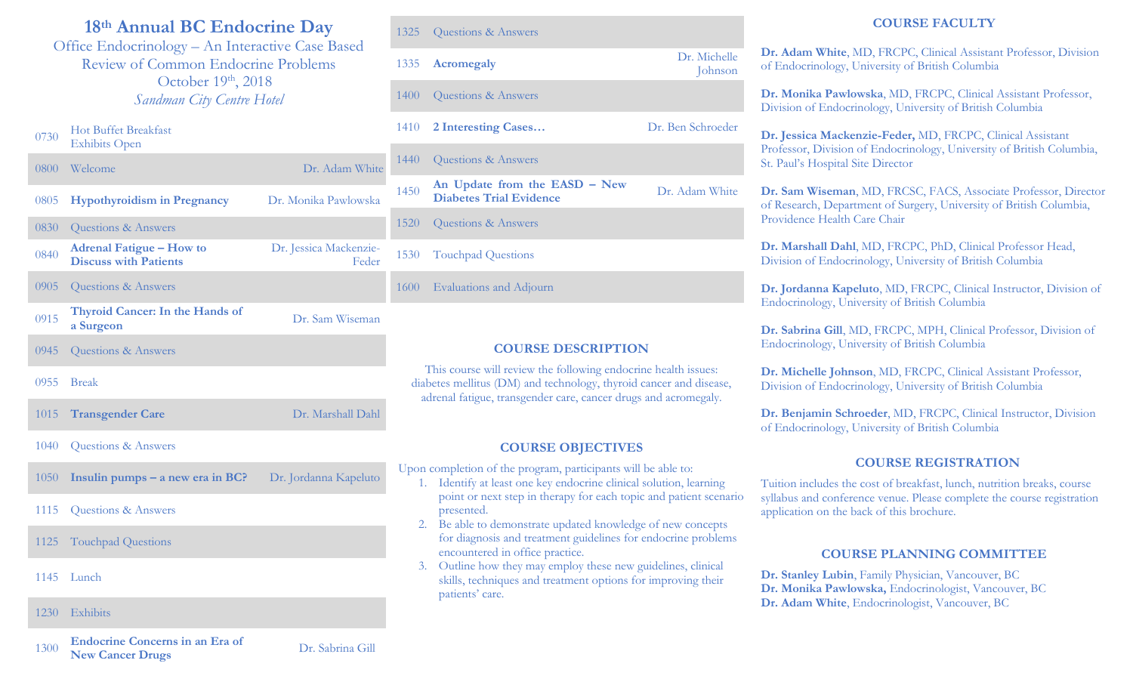# **18th Annual BC Endocrine Day**

Office Endocrinology – An Interactive Case Based Review of Common Endocrine Problems October 19th, 2018 *Sandman City Centre Hotel*

#### $0730$  Hot Buffet Breakfast Exhibits Open

| $0800 -$ | Welcome                                                         | Dr. Adam White                  |
|----------|-----------------------------------------------------------------|---------------------------------|
| 0805     | <b>Hypothyroidism in Pregnancy</b>                              | Dr. Monika Pawlowska            |
| 0830     | Questions & Answers                                             |                                 |
| 0840     | <b>Adrenal Fatigue - How to</b><br><b>Discuss with Patients</b> | Dr. Jessica Mackenzie-<br>Feder |
| 0905     | Questions & Answers                                             |                                 |
| 0915     | Thyroid Cancer: In the Hands of<br>a Surgeon                    | Dr. Sam Wiseman                 |
| 0945     | <b>Questions &amp; Answers</b>                                  |                                 |
| 0955     | <b>Break</b>                                                    |                                 |
| 1015     | <b>Transgender Care</b>                                         | Dr. Marshall Dahl               |
| 1040     | Questions & Answers                                             |                                 |
| 1050     | Insulin pumps $-$ a new era in BC?                              | Dr. Jordanna Kapeluto           |
| 1115     | Questions & Answers                                             |                                 |
| 1125     | <b>Touchpad Questions</b>                                       |                                 |
| 1145     | Lunch                                                           |                                 |
| 1230     | Exhibits                                                        |                                 |

| 1335 Acromegaly          | Dr. Michelle<br>Johnson |
|--------------------------|-------------------------|
| 1400 Questions & Answers |                         |
| 1410 2 Interesting Cases | Dr. Ben Schroeder       |
| 1440 Questions & Answers |                         |

<sup>1450</sup> **An Update from the EASD – New Diabetes Trial Evidence** Dr. Adam White

1520 Questions & Answers

1530 Touchpad Questions

1325 Ouestions & Answers

1600 Evaluations and Adjourn

# **COURSE DESCRIPTION**

This course will review the following endocrine health issues: diabetes mellitus (DM) and technology, thyroid cancer and disease, adrenal fatigue, transgender care, cancer drugs and acromegaly.

# **COURSE OBJECTIVES**

Upon completion of the program, participants will be able to:

- 1. Identify at least one key endocrine clinical solution, learning point or next step in therapy for each topic and patient scenario presented.
- 2. Be able to demonstrate updated knowledge of new concepts for diagnosis and treatment guidelines for endocrine problems encountered in office practice.
- 3. Outline how they may employ these new guidelines, clinical skills, techniques and treatment options for improving their patients' care.

# **COURSE FACULTY**

**Dr. Adam White**, MD, FRCPC, Clinical Assistant Professor, Division of Endocrinology, University of British Columbia

**Dr. Monika Pawlowska**, MD, FRCPC, Clinical Assistant Professor, Division of Endocrinology, University of British Columbia

**Dr. Jessica Mackenzie-Feder,** MD, FRCPC, Clinical Assistant Professor, Division of Endocrinology, University of British Columbia, St. Paul's Hospital Site Director

**Dr. Sam Wiseman**, MD, FRCSC, FACS, Associate Professor, Director of Research, Department of Surgery, University of British Columbia, Providence Health Care Chair

**Dr. Marshall Dahl**, MD, FRCPC, PhD, Clinical Professor Head, Division of Endocrinology, University of British Columbia

**Dr. Jordanna Kapeluto**, MD, FRCPC, Clinical Instructor, Division of Endocrinology, University of British Columbia

**Dr. Sabrina Gill**, MD, FRCPC, MPH, Clinical Professor, Division of Endocrinology, University of British Columbia

**Dr. Michelle Johnson**, MD, FRCPC, Clinical Assistant Professor, Division of Endocrinology, University of British Columbia

**Dr. Benjamin Schroeder**, MD, FRCPC, Clinical Instructor, Division of Endocrinology, University of British Columbia

# **COURSE REGISTRATION**

Tuition includes the cost of breakfast, lunch, nutrition breaks, course syllabus and conference venue. Please complete the course registration application on the back of this brochure.

#### **COURSE PLANNING COMMITTEE**

**Dr. Stanley Lubin**, Family Physician, Vancouver, BC **Dr. Monika Pawlowska,** Endocrinologist, Vancouver, BC **Dr. Adam White**, Endocrinologist, Vancouver, BC